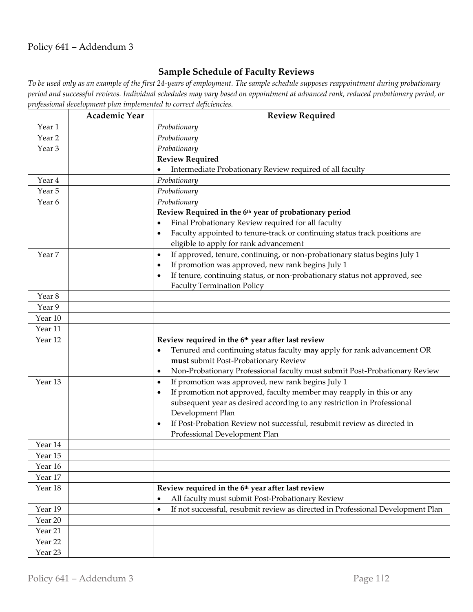## Policy 641 – Addendum 3

## **Sample Schedule of Faculty Reviews**

*To be used only as an example of the first 24-years of employment. The sample schedule supposes reappointment during probationary period and successful reviews. Individual schedules may vary based on appointment at advanced rank, reduced probationary period, or professional development plan implemented to correct deficiencies.*

|                   | <b>Academic Year</b> | <b>Review Required</b>                                                                      |
|-------------------|----------------------|---------------------------------------------------------------------------------------------|
| Year 1            |                      | Probationary                                                                                |
| Year <sub>2</sub> |                      | Probationary                                                                                |
| Year <sub>3</sub> |                      | Probationary                                                                                |
|                   |                      | <b>Review Required</b>                                                                      |
|                   |                      | Intermediate Probationary Review required of all faculty                                    |
| Year 4            |                      | Probationary                                                                                |
| Year 5            |                      | Probationary                                                                                |
| Year 6            |                      | Probationary                                                                                |
|                   |                      | Review Required in the 6th year of probationary period                                      |
|                   |                      | Final Probationary Review required for all faculty<br>$\bullet$                             |
|                   |                      | Faculty appointed to tenure-track or continuing status track positions are<br>$\bullet$     |
|                   |                      | eligible to apply for rank advancement                                                      |
| Year 7            |                      | If approved, tenure, continuing, or non-probationary status begins July 1<br>$\bullet$      |
|                   |                      | If promotion was approved, new rank begins July 1<br>$\bullet$                              |
|                   |                      | If tenure, continuing status, or non-probationary status not approved, see<br>$\bullet$     |
|                   |                      | <b>Faculty Termination Policy</b>                                                           |
| Year 8            |                      |                                                                                             |
| Year 9            |                      |                                                                                             |
| Year 10           |                      |                                                                                             |
| Year 11           |                      |                                                                                             |
| Year 12           |                      | Review required in the 6th year after last review                                           |
|                   |                      | Tenured and continuing status faculty may apply for rank advancement OR                     |
|                   |                      | must submit Post-Probationary Review                                                        |
|                   |                      | Non-Probationary Professional faculty must submit Post-Probationary Review<br>$\bullet$     |
| Year 13           |                      | If promotion was approved, new rank begins July 1<br>$\bullet$                              |
|                   |                      | If promotion not approved, faculty member may reapply in this or any<br>$\bullet$           |
|                   |                      | subsequent year as desired according to any restriction in Professional                     |
|                   |                      | Development Plan<br>If Post-Probation Review not successful, resubmit review as directed in |
|                   |                      | $\bullet$<br>Professional Development Plan                                                  |
| Year 14           |                      |                                                                                             |
| Year 15           |                      |                                                                                             |
| Year 16           |                      |                                                                                             |
| Year 17           |                      |                                                                                             |
| Year 18           |                      | Review required in the 6th year after last review                                           |
|                   |                      | All faculty must submit Post-Probationary Review                                            |
| Year 19           |                      | If not successful, resubmit review as directed in Professional Development Plan<br>٠        |
| Year 20           |                      |                                                                                             |
| Year 21           |                      |                                                                                             |
| Year 22           |                      |                                                                                             |
| Year 23           |                      |                                                                                             |